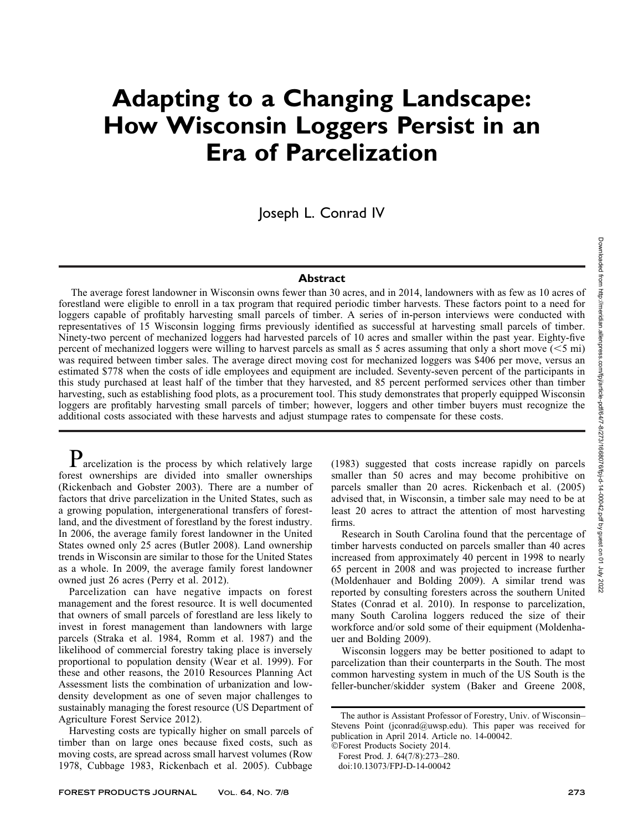# Adapting to a Changing Landscape: How Wisconsin Loggers Persist in an Era of Parcelization

Joseph L. Conrad IV

#### Abstract

The average forest landowner in Wisconsin owns fewer than 30 acres, and in 2014, landowners with as few as 10 acres of forestland were eligible to enroll in a tax program that required periodic timber harvests. These factors point to a need for loggers capable of profitably harvesting small parcels of timber. A series of in-person interviews were conducted with representatives of 15 Wisconsin logging firms previously identified as successful at harvesting small parcels of timber. Ninety-two percent of mechanized loggers had harvested parcels of 10 acres and smaller within the past year. Eighty-five percent of mechanized loggers were willing to harvest parcels as small as 5 acres assuming that only a short move  $(< 5$  mi) was required between timber sales. The average direct moving cost for mechanized loggers was \$406 per move, versus an estimated \$778 when the costs of idle employees and equipment are included. Seventy-seven percent of the participants in this study purchased at least half of the timber that they harvested, and 85 percent performed services other than timber harvesting, such as establishing food plots, as a procurement tool. This study demonstrates that properly equipped Wisconsin loggers are profitably harvesting small parcels of timber; however, loggers and other timber buyers must recognize the additional costs associated with these harvests and adjust stumpage rates to compensate for these costs.

 $P$  arcelization is the process by which relatively large forest ownerships are divided into smaller ownerships (Rickenbach and Gobster 2003). There are a number of factors that drive parcelization in the United States, such as a growing population, intergenerational transfers of forestland, and the divestment of forestland by the forest industry. In 2006, the average family forest landowner in the United States owned only 25 acres (Butler 2008). Land ownership trends in Wisconsin are similar to those for the United States as a whole. In 2009, the average family forest landowner owned just 26 acres (Perry et al. 2012).

Parcelization can have negative impacts on forest management and the forest resource. It is well documented that owners of small parcels of forestland are less likely to invest in forest management than landowners with large parcels (Straka et al. 1984, Romm et al. 1987) and the likelihood of commercial forestry taking place is inversely proportional to population density (Wear et al. 1999). For these and other reasons, the 2010 Resources Planning Act Assessment lists the combination of urbanization and lowdensity development as one of seven major challenges to sustainably managing the forest resource (US Department of Agriculture Forest Service 2012).

Harvesting costs are typically higher on small parcels of timber than on large ones because fixed costs, such as moving costs, are spread across small harvest volumes (Row 1978, Cubbage 1983, Rickenbach et al. 2005). Cubbage

(1983) suggested that costs increase rapidly on parcels smaller than 50 acres and may become prohibitive on parcels smaller than 20 acres. Rickenbach et al. (2005) advised that, in Wisconsin, a timber sale may need to be at least 20 acres to attract the attention of most harvesting firms.

Research in South Carolina found that the percentage of timber harvests conducted on parcels smaller than 40 acres increased from approximately 40 percent in 1998 to nearly 65 percent in 2008 and was projected to increase further (Moldenhauer and Bolding 2009). A similar trend was reported by consulting foresters across the southern United States (Conrad et al. 2010). In response to parcelization, many South Carolina loggers reduced the size of their workforce and/or sold some of their equipment (Moldenhauer and Bolding 2009).

Wisconsin loggers may be better positioned to adapt to parcelization than their counterparts in the South. The most common harvesting system in much of the US South is the feller-buncher/skidder system (Baker and Greene 2008,

The author is Assistant Professor of Forestry, Univ. of Wisconsin– Stevens Point (jconrad@uwsp.edu). This paper was received for publication in April 2014. Article no. 14-00042.

<sup>-</sup>Forest Products Society 2014. Forest Prod. J. 64(7/8):273–280.

doi:10.13073/FPJ-D-14-00042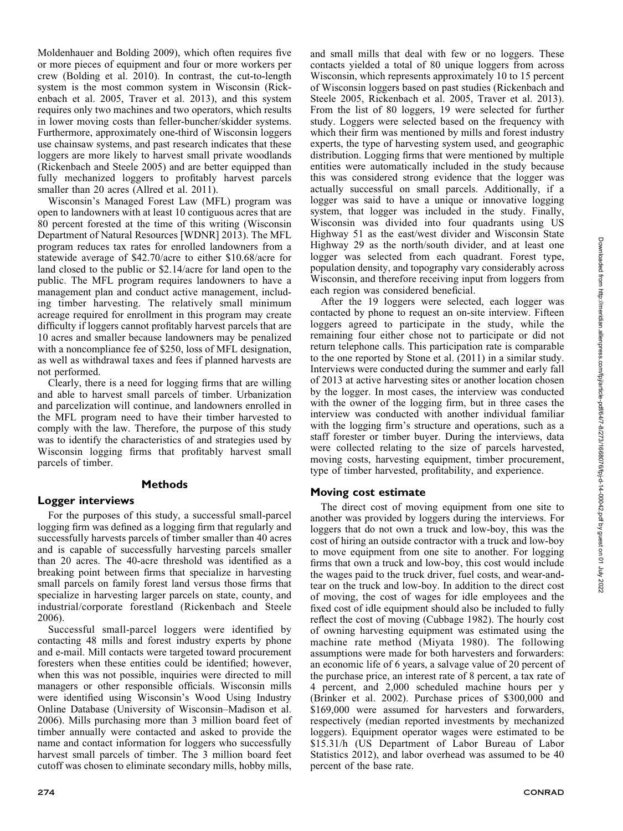Moldenhauer and Bolding 2009), which often requires five or more pieces of equipment and four or more workers per crew (Bolding et al. 2010). In contrast, the cut-to-length system is the most common system in Wisconsin (Rickenbach et al. 2005, Traver et al. 2013), and this system requires only two machines and two operators, which results in lower moving costs than feller-buncher/skidder systems. Furthermore, approximately one-third of Wisconsin loggers use chainsaw systems, and past research indicates that these loggers are more likely to harvest small private woodlands (Rickenbach and Steele 2005) and are better equipped than fully mechanized loggers to profitably harvest parcels smaller than 20 acres (Allred et al. 2011).

Wisconsin's Managed Forest Law (MFL) program was open to landowners with at least 10 contiguous acres that are 80 percent forested at the time of this writing (Wisconsin Department of Natural Resources [WDNR] 2013). The MFL program reduces tax rates for enrolled landowners from a statewide average of \$42.70/acre to either \$10.68/acre for land closed to the public or \$2.14/acre for land open to the public. The MFL program requires landowners to have a management plan and conduct active management, including timber harvesting. The relatively small minimum acreage required for enrollment in this program may create difficulty if loggers cannot profitably harvest parcels that are 10 acres and smaller because landowners may be penalized with a noncompliance fee of \$250, loss of MFL designation, as well as withdrawal taxes and fees if planned harvests are not performed.

Clearly, there is a need for logging firms that are willing and able to harvest small parcels of timber. Urbanization and parcelization will continue, and landowners enrolled in the MFL program need to have their timber harvested to comply with the law. Therefore, the purpose of this study was to identify the characteristics of and strategies used by Wisconsin logging firms that profitably harvest small parcels of timber.

## Methods

#### Logger interviews

For the purposes of this study, a successful small-parcel logging firm was defined as a logging firm that regularly and successfully harvests parcels of timber smaller than 40 acres and is capable of successfully harvesting parcels smaller than 20 acres. The 40-acre threshold was identified as a breaking point between firms that specialize in harvesting small parcels on family forest land versus those firms that specialize in harvesting larger parcels on state, county, and industrial/corporate forestland (Rickenbach and Steele 2006).

Successful small-parcel loggers were identified by contacting 48 mills and forest industry experts by phone and e-mail. Mill contacts were targeted toward procurement foresters when these entities could be identified; however, when this was not possible, inquiries were directed to mill managers or other responsible officials. Wisconsin mills were identified using Wisconsin's Wood Using Industry Online Database (University of Wisconsin–Madison et al. 2006). Mills purchasing more than 3 million board feet of timber annually were contacted and asked to provide the name and contact information for loggers who successfully harvest small parcels of timber. The 3 million board feet cutoff was chosen to eliminate secondary mills, hobby mills, and small mills that deal with few or no loggers. These contacts yielded a total of 80 unique loggers from across Wisconsin, which represents approximately 10 to 15 percent of Wisconsin loggers based on past studies (Rickenbach and Steele 2005, Rickenbach et al. 2005, Traver et al. 2013). From the list of 80 loggers, 19 were selected for further study. Loggers were selected based on the frequency with which their firm was mentioned by mills and forest industry experts, the type of harvesting system used, and geographic distribution. Logging firms that were mentioned by multiple entities were automatically included in the study because this was considered strong evidence that the logger was actually successful on small parcels. Additionally, if a logger was said to have a unique or innovative logging system, that logger was included in the study. Finally, Wisconsin was divided into four quadrants using US Highway 51 as the east/west divider and Wisconsin State Highway 29 as the north/south divider, and at least one logger was selected from each quadrant. Forest type, population density, and topography vary considerably across Wisconsin, and therefore receiving input from loggers from each region was considered beneficial.

After the 19 loggers were selected, each logger was contacted by phone to request an on-site interview. Fifteen loggers agreed to participate in the study, while the remaining four either chose not to participate or did not return telephone calls. This participation rate is comparable to the one reported by Stone et al. (2011) in a similar study. Interviews were conducted during the summer and early fall of 2013 at active harvesting sites or another location chosen by the logger. In most cases, the interview was conducted with the owner of the logging firm, but in three cases the interview was conducted with another individual familiar with the logging firm's structure and operations, such as a staff forester or timber buyer. During the interviews, data were collected relating to the size of parcels harvested, moving costs, harvesting equipment, timber procurement, type of timber harvested, profitability, and experience.

#### Moving cost estimate

The direct cost of moving equipment from one site to another was provided by loggers during the interviews. For loggers that do not own a truck and low-boy, this was the cost of hiring an outside contractor with a truck and low-boy to move equipment from one site to another. For logging firms that own a truck and low-boy, this cost would include the wages paid to the truck driver, fuel costs, and wear-andtear on the truck and low-boy. In addition to the direct cost of moving, the cost of wages for idle employees and the fixed cost of idle equipment should also be included to fully reflect the cost of moving (Cubbage 1982). The hourly cost of owning harvesting equipment was estimated using the machine rate method (Miyata 1980). The following assumptions were made for both harvesters and forwarders: an economic life of 6 years, a salvage value of 20 percent of the purchase price, an interest rate of 8 percent, a tax rate of 4 percent, and 2,000 scheduled machine hours per y (Brinker et al. 2002). Purchase prices of \$300,000 and \$169,000 were assumed for harvesters and forwarders, respectively (median reported investments by mechanized loggers). Equipment operator wages were estimated to be \$15.31/h (US Department of Labor Bureau of Labor Statistics 2012), and labor overhead was assumed to be 40 percent of the base rate.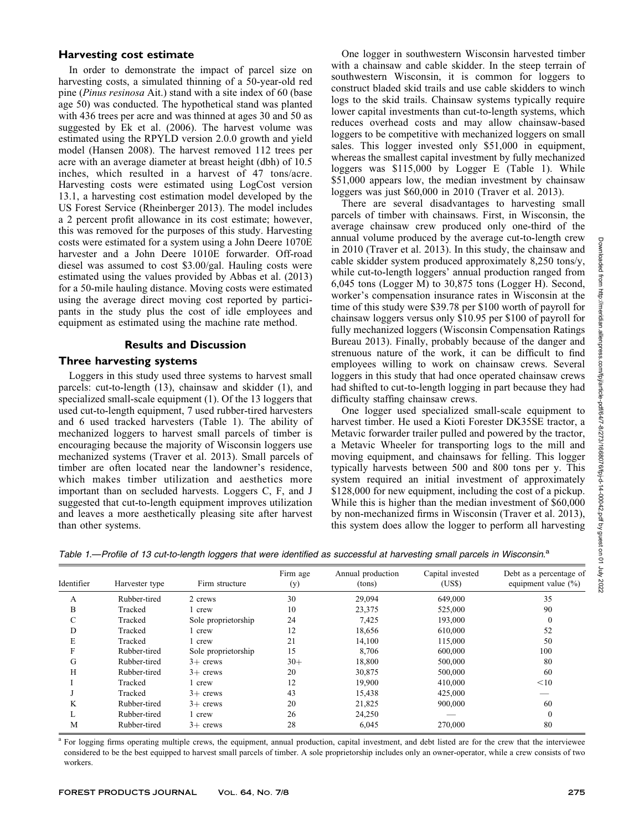#### Harvesting cost estimate

In order to demonstrate the impact of parcel size on harvesting costs, a simulated thinning of a 50-year-old red pine (Pinus resinosa Ait.) stand with a site index of 60 (base age 50) was conducted. The hypothetical stand was planted with 436 trees per acre and was thinned at ages 30 and 50 as suggested by Ek et al. (2006). The harvest volume was estimated using the RPYLD version 2.0.0 growth and yield model (Hansen 2008). The harvest removed 112 trees per acre with an average diameter at breast height (dbh) of 10.5 inches, which resulted in a harvest of 47 tons/acre. Harvesting costs were estimated using LogCost version 13.1, a harvesting cost estimation model developed by the US Forest Service (Rheinberger 2013). The model includes a 2 percent profit allowance in its cost estimate; however, this was removed for the purposes of this study. Harvesting costs were estimated for a system using a John Deere 1070E harvester and a John Deere 1010E forwarder. Off-road diesel was assumed to cost \$3.00/gal. Hauling costs were estimated using the values provided by Abbas et al. (2013) for a 50-mile hauling distance. Moving costs were estimated using the average direct moving cost reported by participants in the study plus the cost of idle employees and equipment as estimated using the machine rate method.

## Results and Discussion

## Three harvesting systems

Loggers in this study used three systems to harvest small parcels: cut-to-length (13), chainsaw and skidder (1), and specialized small-scale equipment (1). Of the 13 loggers that used cut-to-length equipment, 7 used rubber-tired harvesters and 6 used tracked harvesters (Table 1). The ability of mechanized loggers to harvest small parcels of timber is encouraging because the majority of Wisconsin loggers use mechanized systems (Traver et al. 2013). Small parcels of timber are often located near the landowner's residence, which makes timber utilization and aesthetics more important than on secluded harvests. Loggers C, F, and J suggested that cut-to-length equipment improves utilization and leaves a more aesthetically pleasing site after harvest than other systems.

One logger in southwestern Wisconsin harvested timber with a chainsaw and cable skidder. In the steep terrain of southwestern Wisconsin, it is common for loggers to construct bladed skid trails and use cable skidders to winch logs to the skid trails. Chainsaw systems typically require lower capital investments than cut-to-length systems, which reduces overhead costs and may allow chainsaw-based loggers to be competitive with mechanized loggers on small sales. This logger invested only \$51,000 in equipment, whereas the smallest capital investment by fully mechanized loggers was \$115,000 by Logger E (Table 1). While \$51,000 appears low, the median investment by chainsaw loggers was just \$60,000 in 2010 (Traver et al. 2013).

There are several disadvantages to harvesting small parcels of timber with chainsaws. First, in Wisconsin, the average chainsaw crew produced only one-third of the annual volume produced by the average cut-to-length crew in 2010 (Traver et al. 2013). In this study, the chainsaw and cable skidder system produced approximately 8,250 tons/y, while cut-to-length loggers' annual production ranged from 6,045 tons (Logger M) to 30,875 tons (Logger H). Second, worker's compensation insurance rates in Wisconsin at the time of this study were \$39.78 per \$100 worth of payroll for chainsaw loggers versus only \$10.95 per \$100 of payroll for fully mechanized loggers (Wisconsin Compensation Ratings Bureau 2013). Finally, probably because of the danger and strenuous nature of the work, it can be difficult to find employees willing to work on chainsaw crews. Several loggers in this study that had once operated chainsaw crews had shifted to cut-to-length logging in part because they had difficulty staffing chainsaw crews.

One logger used specialized small-scale equipment to harvest timber. He used a Kioti Forester DK35SE tractor, a Metavic forwarder trailer pulled and powered by the tractor, a Metavic Wheeler for transporting logs to the mill and moving equipment, and chainsaws for felling. This logger typically harvests between 500 and 800 tons per y. This system required an initial investment of approximately \$128,000 for new equipment, including the cost of a pickup. While this is higher than the median investment of \$60,000 by non-mechanized firms in Wisconsin (Traver et al. 2013), this system does allow the logger to perform all harvesting

Table 1.-Profile of 13 cut-to-length loggers that were identified as successful at harvesting small parcels in Wisconsin.<sup>a</sup>

| Identifier | Harvester type | Firm structure      | Firm age<br>(y) | Annual production<br>(tons) | Capital invested<br>(US\$) | Debt as a percentage of<br>equipment value $(\% )$ |
|------------|----------------|---------------------|-----------------|-----------------------------|----------------------------|----------------------------------------------------|
| A          | Rubber-tired   | 2 crews             | 30              | 29,094                      | 649,000                    | 35                                                 |
| B          | Tracked        | 1 crew              | 10              | 23,375                      | 525,000                    | 90                                                 |
| С          | Tracked        | Sole proprietorship | 24              | 7,425                       | 193,000                    | $\bf{0}$                                           |
| D          | Tracked        | l crew              | 12              | 18,656                      | 610,000                    | 52                                                 |
| E          | Tracked        | l crew              | 21              | 14,100                      | 115,000                    | 50                                                 |
| F          | Rubber-tired   | Sole proprietorship | 15              | 8,706                       | 600,000                    | 100                                                |
| G          | Rubber-tired   | $3+$ crews          | $30+$           | 18,800                      | 500,000                    | 80                                                 |
| H          | Rubber-tired   | $3+$ crews          | 20              | 30,875                      | 500,000                    | 60                                                 |
|            | Tracked        | 1 crew              | 12              | 19,900                      | 410,000                    | $<$ 10                                             |
|            | Tracked        | $3+$ crews          | 43              | 15,438                      | 425,000                    |                                                    |
| K          | Rubber-tired   | $3+$ crews          | 20              | 21,825                      | 900,000                    | 60                                                 |
|            | Rubber-tired   | 1 crew              | 26              | 24,250                      |                            | $\theta$                                           |
| М          | Rubber-tired   | $3+$ crews          | 28              | 6,045                       | 270,000                    | 80                                                 |

<sup>a</sup> For logging firms operating multiple crews, the equipment, annual production, capital investment, and debt listed are for the crew that the interviewee considered to be the best equipped to harvest small parcels of timber. A sole proprietorship includes only an owner-operator, while a crew consists of two workers.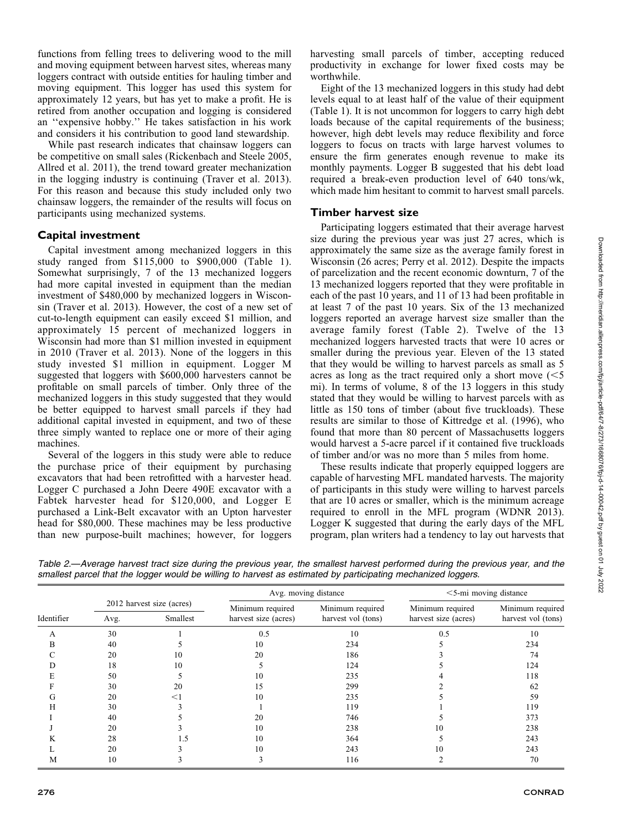functions from felling trees to delivering wood to the mill and moving equipment between harvest sites, whereas many loggers contract with outside entities for hauling timber and moving equipment. This logger has used this system for approximately 12 years, but has yet to make a profit. He is retired from another occupation and logging is considered an ''expensive hobby.'' He takes satisfaction in his work and considers it his contribution to good land stewardship.

While past research indicates that chainsaw loggers can be competitive on small sales (Rickenbach and Steele 2005, Allred et al. 2011), the trend toward greater mechanization in the logging industry is continuing (Traver et al. 2013). For this reason and because this study included only two chainsaw loggers, the remainder of the results will focus on participants using mechanized systems.

#### Capital investment

Capital investment among mechanized loggers in this study ranged from \$115,000 to \$900,000 (Table 1). Somewhat surprisingly, 7 of the 13 mechanized loggers had more capital invested in equipment than the median investment of \$480,000 by mechanized loggers in Wisconsin (Traver et al. 2013). However, the cost of a new set of cut-to-length equipment can easily exceed \$1 million, and approximately 15 percent of mechanized loggers in Wisconsin had more than \$1 million invested in equipment in 2010 (Traver et al. 2013). None of the loggers in this study invested \$1 million in equipment. Logger M suggested that loggers with \$600,000 harvesters cannot be profitable on small parcels of timber. Only three of the mechanized loggers in this study suggested that they would be better equipped to harvest small parcels if they had additional capital invested in equipment, and two of these three simply wanted to replace one or more of their aging machines.

Several of the loggers in this study were able to reduce the purchase price of their equipment by purchasing excavators that had been retrofitted with a harvester head. Logger C purchased a John Deere 490E excavator with a Fabtek harvester head for \$120,000, and Logger E purchased a Link-Belt excavator with an Upton harvester head for \$80,000. These machines may be less productive than new purpose-built machines; however, for loggers harvesting small parcels of timber, accepting reduced productivity in exchange for lower fixed costs may be worthwhile.

Eight of the 13 mechanized loggers in this study had debt levels equal to at least half of the value of their equipment (Table 1). It is not uncommon for loggers to carry high debt loads because of the capital requirements of the business; however, high debt levels may reduce flexibility and force loggers to focus on tracts with large harvest volumes to ensure the firm generates enough revenue to make its monthly payments. Logger B suggested that his debt load required a break-even production level of 640 tons/wk, which made him hesitant to commit to harvest small parcels.

#### Timber harvest size

Participating loggers estimated that their average harvest size during the previous year was just 27 acres, which is approximately the same size as the average family forest in Wisconsin (26 acres; Perry et al. 2012). Despite the impacts of parcelization and the recent economic downturn, 7 of the 13 mechanized loggers reported that they were profitable in each of the past 10 years, and 11 of 13 had been profitable in at least 7 of the past 10 years. Six of the 13 mechanized loggers reported an average harvest size smaller than the average family forest (Table 2). Twelve of the 13 mechanized loggers harvested tracts that were 10 acres or smaller during the previous year. Eleven of the 13 stated that they would be willing to harvest parcels as small as 5 acres as long as the tract required only a short move  $\leq 5$ mi). In terms of volume, 8 of the 13 loggers in this study stated that they would be willing to harvest parcels with as little as 150 tons of timber (about five truckloads). These results are similar to those of Kittredge et al. (1996), who found that more than 80 percent of Massachusetts loggers would harvest a 5-acre parcel if it contained five truckloads of timber and/or was no more than 5 miles from home.

These results indicate that properly equipped loggers are capable of harvesting MFL mandated harvests. The majority of participants in this study were willing to harvest parcels that are 10 acres or smaller, which is the minimum acreage required to enroll in the MFL program (WDNR 2013). Logger K suggested that during the early days of the MFL program, plan writers had a tendency to lay out harvests that

| Identifier |                                               |       |                                          | Avg. moving distance                   | $<$ 5-mi moving distance                 |                                        |
|------------|-----------------------------------------------|-------|------------------------------------------|----------------------------------------|------------------------------------------|----------------------------------------|
|            | 2012 harvest size (acres)<br>Smallest<br>Avg. |       | Minimum required<br>harvest size (acres) | Minimum required<br>harvest vol (tons) | Minimum required<br>harvest size (acres) | Minimum required<br>harvest vol (tons) |
| А          | 30                                            |       | 0.5                                      | 10                                     | 0.5                                      | 10                                     |
| В          | 40                                            |       | 10                                       | 234                                    |                                          | 234                                    |
|            | 20                                            | 10    | 20                                       | 186                                    |                                          | 74                                     |
| D          | 18                                            | 10    |                                          | 124                                    |                                          | 124                                    |
| E          | 50                                            |       | 10                                       | 235                                    |                                          | 118                                    |
|            | 30                                            | 20    | 15                                       | 299                                    |                                          | 62                                     |
| G          | 20                                            | $<$ 1 | 10                                       | 235                                    |                                          | 59                                     |
| Н          | 30                                            |       |                                          | 119                                    |                                          | 119                                    |
|            | 40                                            |       | 20                                       | 746                                    |                                          | 373                                    |
|            | 20                                            |       | 10                                       | 238                                    | 10                                       | 238                                    |
|            | 28                                            | 1.5   | 10                                       | 364                                    |                                          | 243                                    |
|            | 20                                            |       | 10                                       | 243                                    | 10                                       | 243                                    |
| М          | 10                                            |       |                                          | 116                                    |                                          | 70                                     |

Table 2.—Average harvest tract size during the previous year, the smallest harvest performed during the previous year, and the smallest parcel that the logger would be willing to harvest as estimated by participating mechanized loggers.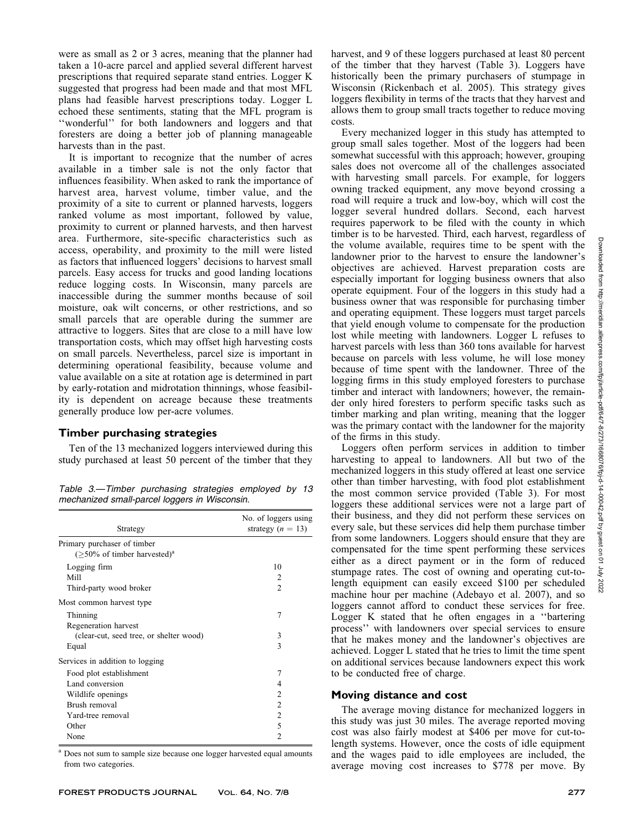were as small as 2 or 3 acres, meaning that the planner had taken a 10-acre parcel and applied several different harvest prescriptions that required separate stand entries. Logger K suggested that progress had been made and that most MFL plans had feasible harvest prescriptions today. Logger L echoed these sentiments, stating that the MFL program is ''wonderful'' for both landowners and loggers and that foresters are doing a better job of planning manageable harvests than in the past.

It is important to recognize that the number of acres available in a timber sale is not the only factor that influences feasibility. When asked to rank the importance of harvest area, harvest volume, timber value, and the proximity of a site to current or planned harvests, loggers ranked volume as most important, followed by value, proximity to current or planned harvests, and then harvest area. Furthermore, site-specific characteristics such as access, operability, and proximity to the mill were listed as factors that influenced loggers' decisions to harvest small parcels. Easy access for trucks and good landing locations reduce logging costs. In Wisconsin, many parcels are inaccessible during the summer months because of soil moisture, oak wilt concerns, or other restrictions, and so small parcels that are operable during the summer are attractive to loggers. Sites that are close to a mill have low transportation costs, which may offset high harvesting costs on small parcels. Nevertheless, parcel size is important in determining operational feasibility, because volume and value available on a site at rotation age is determined in part by early-rotation and midrotation thinnings, whose feasibility is dependent on acreage because these treatments generally produce low per-acre volumes.

## Timber purchasing strategies

Ten of the 13 mechanized loggers interviewed during this study purchased at least 50 percent of the timber that they

Table 3.—Timber purchasing strategies employed by 13 mechanized small-parcel loggers in Wisconsin.

| Strategy                                                                  | No. of loggers using<br>strategy $(n = 13)$ |
|---------------------------------------------------------------------------|---------------------------------------------|
| Primary purchaser of timber<br>$($ >50% of timber harvested) <sup>a</sup> |                                             |
| Logging firm                                                              | 10                                          |
| Mill                                                                      | $\mathcal{L}$                               |
| Third-party wood broker                                                   | $\mathfrak{D}$                              |
| Most common harvest type                                                  |                                             |
| Thinning                                                                  | 7                                           |
| Regeneration harvest                                                      |                                             |
| (clear-cut, seed tree, or shelter wood)                                   | 3                                           |
| Equal                                                                     | 3                                           |
| Services in addition to logging                                           |                                             |
| Food plot establishment                                                   | 7                                           |
| Land conversion                                                           | 4                                           |
| Wildlife openings                                                         | $\mathcal{L}$                               |
| Brush removal                                                             | $\mathfrak{D}$                              |
| Yard-tree removal                                                         | 2                                           |
| Other                                                                     | 5                                           |
| None                                                                      | 2                                           |
|                                                                           |                                             |

<sup>a</sup> Does not sum to sample size because one logger harvested equal amounts from two categories.

harvest, and 9 of these loggers purchased at least 80 percent of the timber that they harvest (Table 3). Loggers have historically been the primary purchasers of stumpage in Wisconsin (Rickenbach et al. 2005). This strategy gives loggers flexibility in terms of the tracts that they harvest and allows them to group small tracts together to reduce moving costs.

Every mechanized logger in this study has attempted to group small sales together. Most of the loggers had been somewhat successful with this approach; however, grouping sales does not overcome all of the challenges associated with harvesting small parcels. For example, for loggers owning tracked equipment, any move beyond crossing a road will require a truck and low-boy, which will cost the logger several hundred dollars. Second, each harvest requires paperwork to be filed with the county in which timber is to be harvested. Third, each harvest, regardless of the volume available, requires time to be spent with the landowner prior to the harvest to ensure the landowner's objectives are achieved. Harvest preparation costs are especially important for logging business owners that also operate equipment. Four of the loggers in this study had a business owner that was responsible for purchasing timber and operating equipment. These loggers must target parcels that yield enough volume to compensate for the production lost while meeting with landowners. Logger L refuses to harvest parcels with less than 360 tons available for harvest because on parcels with less volume, he will lose money because of time spent with the landowner. Three of the logging firms in this study employed foresters to purchase timber and interact with landowners; however, the remainder only hired foresters to perform specific tasks such as timber marking and plan writing, meaning that the logger was the primary contact with the landowner for the majority of the firms in this study.

Loggers often perform services in addition to timber harvesting to appeal to landowners. All but two of the mechanized loggers in this study offered at least one service other than timber harvesting, with food plot establishment the most common service provided (Table 3). For most loggers these additional services were not a large part of their business, and they did not perform these services on every sale, but these services did help them purchase timber from some landowners. Loggers should ensure that they are compensated for the time spent performing these services either as a direct payment or in the form of reduced stumpage rates. The cost of owning and operating cut-tolength equipment can easily exceed \$100 per scheduled machine hour per machine (Adebayo et al. 2007), and so loggers cannot afford to conduct these services for free. Logger K stated that he often engages in a ''bartering process'' with landowners over special services to ensure that he makes money and the landowner's objectives are achieved. Logger L stated that he tries to limit the time spent on additional services because landowners expect this work to be conducted free of charge.

#### Moving distance and cost

The average moving distance for mechanized loggers in this study was just 30 miles. The average reported moving cost was also fairly modest at \$406 per move for cut-tolength systems. However, once the costs of idle equipment and the wages paid to idle employees are included, the average moving cost increases to \$778 per move. By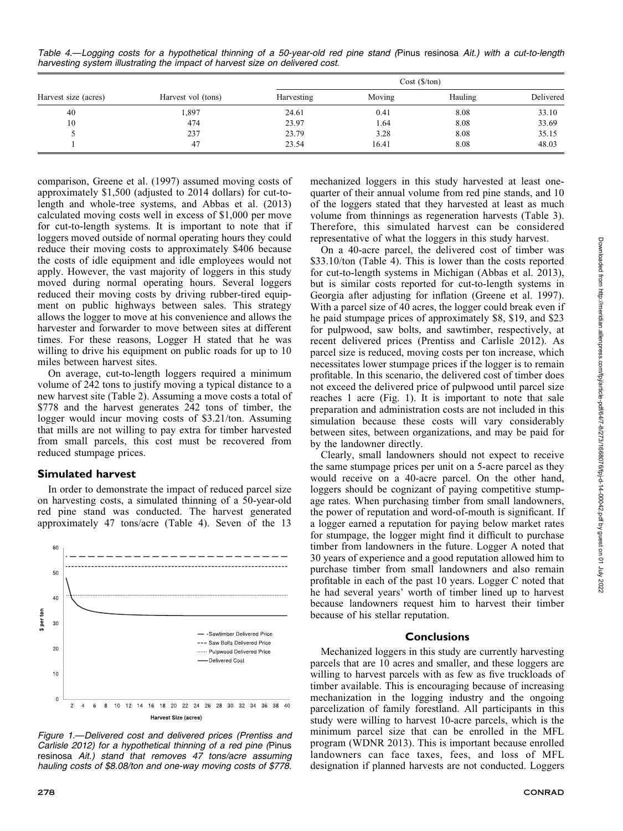Table 4.—Logging costs for a hypothetical thinning of a 50-year-old red pine stand (Pinus resinosa Ait.) with a cut-to-length harvesting system illustrating the impact of harvest size on delivered cost.

|                      |                    | $Cost (\frac{\pi}{2})$ |        |         |           |  |
|----------------------|--------------------|------------------------|--------|---------|-----------|--|
| Harvest size (acres) | Harvest vol (tons) | Harvesting             | Moving | Hauling | Delivered |  |
| 40                   | 1,897              | 24.61                  | 0.41   | 8.08    | 33.10     |  |
| 10                   | 474                | 23.97                  | 1.64   | 8.08    | 33.69     |  |
|                      | 237                | 23.79                  | 3.28   | 8.08    | 35.15     |  |
|                      | 47                 | 23.54                  | 16.41  | 8.08    | 48.03     |  |

comparison, Greene et al. (1997) assumed moving costs of approximately \$1,500 (adjusted to 2014 dollars) for cut-tolength and whole-tree systems, and Abbas et al. (2013) calculated moving costs well in excess of \$1,000 per move for cut-to-length systems. It is important to note that if loggers moved outside of normal operating hours they could reduce their moving costs to approximately \$406 because the costs of idle equipment and idle employees would not apply. However, the vast majority of loggers in this study moved during normal operating hours. Several loggers reduced their moving costs by driving rubber-tired equipment on public highways between sales. This strategy allows the logger to move at his convenience and allows the harvester and forwarder to move between sites at different times. For these reasons, Logger H stated that he was willing to drive his equipment on public roads for up to 10 miles between harvest sites.

On average, cut-to-length loggers required a minimum volume of 242 tons to justify moving a typical distance to a new harvest site (Table 2). Assuming a move costs a total of \$778 and the harvest generates 242 tons of timber, the logger would incur moving costs of \$3.21/ton. Assuming that mills are not willing to pay extra for timber harvested from small parcels, this cost must be recovered from reduced stumpage prices.

### Simulated harvest

In order to demonstrate the impact of reduced parcel size on harvesting costs, a simulated thinning of a 50-year-old red pine stand was conducted. The harvest generated approximately 47 tons/acre (Table 4). Seven of the 13



Figure 1.—Delivered cost and delivered prices (Prentiss and Carlisle 2012) for a hypothetical thinning of a red pine (Pinus resinosa Ait.) stand that removes 47 tons/acre assuming hauling costs of \$8.08/ton and one-way moving costs of \$778.

mechanized loggers in this study harvested at least onequarter of their annual volume from red pine stands, and 10 of the loggers stated that they harvested at least as much volume from thinnings as regeneration harvests (Table 3). Therefore, this simulated harvest can be considered representative of what the loggers in this study harvest.

On a 40-acre parcel, the delivered cost of timber was \$33.10/ton (Table 4). This is lower than the costs reported for cut-to-length systems in Michigan (Abbas et al. 2013), but is similar costs reported for cut-to-length systems in Georgia after adjusting for inflation (Greene et al. 1997). With a parcel size of 40 acres, the logger could break even if he paid stumpage prices of approximately \$8, \$19, and \$23 for pulpwood, saw bolts, and sawtimber, respectively, at recent delivered prices (Prentiss and Carlisle 2012). As parcel size is reduced, moving costs per ton increase, which necessitates lower stumpage prices if the logger is to remain profitable. In this scenario, the delivered cost of timber does not exceed the delivered price of pulpwood until parcel size reaches 1 acre (Fig. 1). It is important to note that sale preparation and administration costs are not included in this simulation because these costs will vary considerably between sites, between organizations, and may be paid for by the landowner directly.

Clearly, small landowners should not expect to receive the same stumpage prices per unit on a 5-acre parcel as they would receive on a 40-acre parcel. On the other hand, loggers should be cognizant of paying competitive stumpage rates. When purchasing timber from small landowners, the power of reputation and word-of-mouth is significant. If a logger earned a reputation for paying below market rates for stumpage, the logger might find it difficult to purchase timber from landowners in the future. Logger A noted that 30 years of experience and a good reputation allowed him to purchase timber from small landowners and also remain profitable in each of the past 10 years. Logger C noted that he had several years' worth of timber lined up to harvest because landowners request him to harvest their timber because of his stellar reputation.

#### **Conclusions**

Mechanized loggers in this study are currently harvesting parcels that are 10 acres and smaller, and these loggers are willing to harvest parcels with as few as five truckloads of timber available. This is encouraging because of increasing mechanization in the logging industry and the ongoing parcelization of family forestland. All participants in this study were willing to harvest 10-acre parcels, which is the minimum parcel size that can be enrolled in the MFL program (WDNR 2013). This is important because enrolled landowners can face taxes, fees, and loss of MFL designation if planned harvests are not conducted. Loggers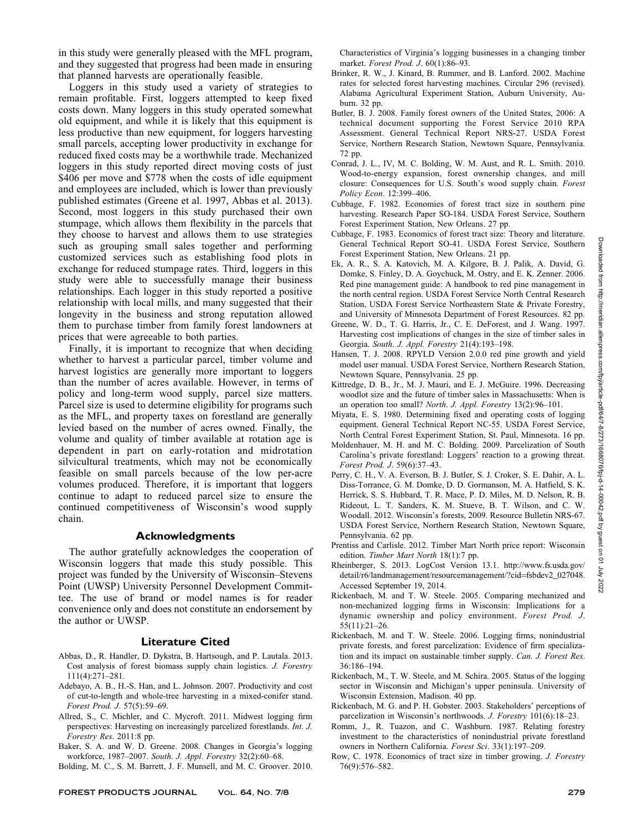in this study were generally pleased with the MFL program, and they suggested that progress had been made in ensuring that planned harvests are operationally feasible.

Loggers in this study used a variety of strategies to remain profitable. First, loggers attempted to keep fixed costs down. Many loggers in this study operated somewhat old equipment, and while it is likely that this equipment is less productive than new equipment, for loggers harvesting small parcels, accepting lower productivity in exchange for reduced fixed costs may be a worthwhile trade. Mechanized loggers in this study reported direct moving costs of just \$406 per move and \$778 when the costs of idle equipment and employees are included, which is lower than previously published estimates (Greene et al. 1997, Abbas et al. 2013). Second, most loggers in this study purchased their own stumpage, which allows them flexibility in the parcels that they choose to harvest and allows them to use strategies such as grouping small sales together and performing customized services such as establishing food plots in exchange for reduced stumpage rates. Third, loggers in this study were able to successfully manage their business relationships. Each logger in this study reported a positive relationship with local mills, and many suggested that their longevity in the business and strong reputation allowed them to purchase timber from family forest landowners at prices that were agreeable to both parties.

Finally, it is important to recognize that when deciding whether to harvest a particular parcel, timber volume and harvest logistics are generally more important to loggers than the number of acres available. However, in terms of policy and long-term wood supply, parcel size matters. Parcel size is used to determine eligibility for programs such as the MFL, and property taxes on forestland are generally levied based on the number of acres owned. Finally, the volume and quality of timber available at rotation age is dependent in part on early-rotation and midrotation silvicultural treatments, which may not be economically feasible on small parcels because of the low per-acre volumes produced. Therefore, it is important that loggers continue to adapt to reduced parcel size to ensure the continued competitiveness of Wisconsin's wood supply chain.

## Acknowledgments

The author gratefully acknowledges the cooperation of Wisconsin loggers that made this study possible. This project was funded by the University of Wisconsin–Stevens Point (UWSP) University Personnel Development Committee. The use of brand or model names is for reader convenience only and does not constitute an endorsement by the author or UWSP.

## Literature Cited

- Abbas, D., R. Handler, D. Dykstra, B. Hartsough, and P. Lautala. 2013. Cost analysis of forest biomass supply chain logistics. J. Forestry 111(4):271–281.
- Adebayo, A. B., H.-S. Han, and L. Johnson. 2007. Productivity and cost of cut-to-length and whole-tree harvesting in a mixed-conifer stand. Forest Prod. J. 57(5):59–69.
- Allred, S., C. Michler, and C. Mycroft. 2011. Midwest logging firm perspectives: Harvesting on increasingly parcelized forestlands. Int. J. Forestry Res. 2011:8 pp.
- Baker, S. A. and W. D. Greene. 2008. Changes in Georgia's logging workforce, 1987–2007. South. J. Appl. Forestry 32(2):60–68.
- Bolding, M. C., S. M. Barrett, J. F. Munsell, and M. C. Groover. 2010.

Characteristics of Virginia's logging businesses in a changing timber market. Forest Prod. J. 60(1):86–93.

- Brinker, R. W., J. Kinard, B. Rummer, and B. Lanford. 2002. Machine rates for selected forest harvesting machines. Circular 296 (revised). Alabama Agricultural Experiment Station, Auburn University, Auburn. 32 pp.
- Butler, B. J. 2008. Family forest owners of the United States, 2006: A technical document supporting the Forest Service 2010 RPA Assessment. General Technical Report NRS-27. USDA Forest Service, Northern Research Station, Newtown Square, Pennsylvania. 72 pp.
- Conrad, J. L., IV, M. C. Bolding, W. M. Aust, and R. L. Smith. 2010. Wood-to-energy expansion, forest ownership changes, and mill closure: Consequences for U.S. South's wood supply chain. Forest Policy Econ. 12:399–406.
- Cubbage, F. 1982. Economies of forest tract size in southern pine harvesting. Research Paper SO-184. USDA Forest Service, Southern Forest Experiment Station, New Orleans. 27 pp.
- Cubbage, F. 1983. Economics of forest tract size: Theory and literature. General Technical Report SO-41. USDA Forest Service, Southern Forest Experiment Station, New Orleans. 21 pp.
- Ek, A. R., S. A. Katovich, M. A. Kilgore, B. J. Palik, A. David, G. Domke, S. Finley, D. A. Goychuck, M. Ostry, and E. K. Zenner. 2006. Red pine management guide: A handbook to red pine management in the north central region. USDA Forest Service North Central Research Station, USDA Forest Service Northeastern State & Private Forestry, and University of Minnesota Department of Forest Resources. 82 pp.
- Greene, W. D., T. G. Harris, Jr., C. E. DeForest, and J. Wang. 1997. Harvesting cost implications of changes in the size of timber sales in Georgia. South. J. Appl. Forestry 21(4):193–198.
- Hansen, T. J. 2008. RPYLD Version 2.0.0 red pine growth and yield model user manual. USDA Forest Service, Northern Research Station, Newtown Square, Pennsylvania. 25 pp.
- Kittredge, D. B., Jr., M. J. Mauri, and E. J. McGuire. 1996. Decreasing woodlot size and the future of timber sales in Massachusetts: When is an operation too small? North. J. Appl. Forestry 13(2):96–101.
- Miyata, E. S. 1980. Determining fixed and operating costs of logging equipment. General Technical Report NC-55. USDA Forest Service, North Central Forest Experiment Station, St. Paul, Minnesota. 16 pp.
- Moldenhauer, M. H. and M. C. Bolding. 2009. Parcelization of South Carolina's private forestland: Loggers' reaction to a growing threat. Forest Prod. J. 59(6):37–43.
- Perry, C. H., V. A. Everson, B. J. Butler, S. J. Croker, S. E. Dahir, A. L. Diss-Torrance, G. M. Domke, D. D. Gormanson, M. A. Hatfield, S. K. Herrick, S. S. Hubbard, T. R. Mace, P. D. Miles, M. D. Nelson, R. B. Rideout, L. T. Sanders, K. M. Stueve, B. T. Wilson, and C. W. Woodall. 2012. Wisconsin's forests, 2009. Resource Bulletin NRS-67. USDA Forest Service, Northern Research Station, Newtown Square, Pennsylvania. 62 pp.
- Prentiss and Carlisle. 2012. Timber Mart North price report: Wisconsin edition. Timber Mart North 18(1):7 pp.
- Rheinberger, S. 2013. LogCost Version 13.1. http://www.fs.usda.gov/ detail/r6/landmanagement/resourcemanagement/?cid=fsbdev2\_027048. Accessed September 19, 2014.
- Rickenbach, M. and T. W. Steele. 2005. Comparing mechanized and non-mechanized logging firms in Wisconsin: Implications for a dynamic ownership and policy environment. Forest Prod. J. 55(11):21–26.
- Rickenbach, M. and T. W. Steele. 2006. Logging firms, nonindustrial private forests, and forest parcelization: Evidence of firm specialization and its impact on sustainable timber supply. Can. J. Forest Res. 36:186–194.
- Rickenbach, M., T. W. Steele, and M. Schira. 2005. Status of the logging sector in Wisconsin and Michigan's upper peninsula. University of Wisconsin Extension, Madison. 40 pp.
- Rickenbach, M. G. and P. H. Gobster. 2003. Stakeholders' perceptions of parcelization in Wisconsin's northwoods. J. Forestry 101(6):18–23.
- Romm, J., R. Tuazon, and C. Washburn. 1987. Relating forestry investment to the characteristics of nonindustrial private forestland owners in Northern California. Forest Sci. 33(1):197–209.
- Row, C. 1978. Economics of tract size in timber growing. J. Forestry 76(9):576–582.